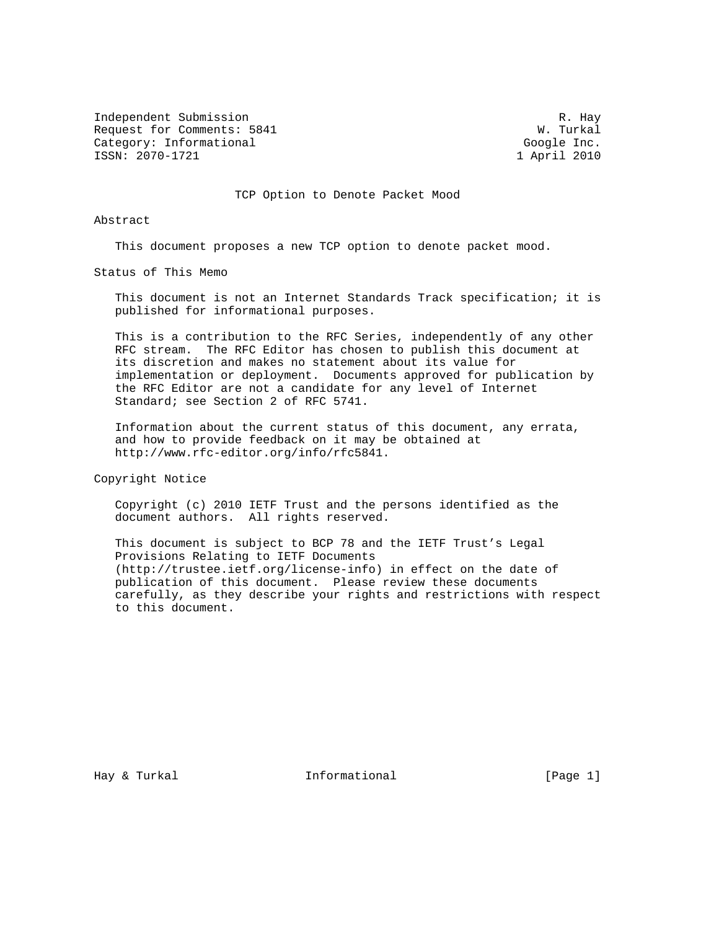Independent Submission R. Hay R. Hay R. Hay R. Hay R. Hay R. Hay R. Hay R. Hay R. Hay R. Hay R. Hay R. Hay R. Hay R. Hay R. Hay R. Hay R. Hay R. Hay R. Hay R. Hay R. Hay R. Hay R. Hay R. Hay R. Hay R. Hay R. Hay R. Hay R. Request for Comments: 5841 Category: Informational Google Inc. ISSN: 2070-1721 1 April 2010

TCP Option to Denote Packet Mood

Abstract

This document proposes a new TCP option to denote packet mood.

Status of This Memo

 This document is not an Internet Standards Track specification; it is published for informational purposes.

 This is a contribution to the RFC Series, independently of any other RFC stream. The RFC Editor has chosen to publish this document at its discretion and makes no statement about its value for implementation or deployment. Documents approved for publication by the RFC Editor are not a candidate for any level of Internet Standard; see Section 2 of RFC 5741.

 Information about the current status of this document, any errata, and how to provide feedback on it may be obtained at http://www.rfc-editor.org/info/rfc5841.

Copyright Notice

 Copyright (c) 2010 IETF Trust and the persons identified as the document authors. All rights reserved.

 This document is subject to BCP 78 and the IETF Trust's Legal Provisions Relating to IETF Documents (http://trustee.ietf.org/license-info) in effect on the date of publication of this document. Please review these documents carefully, as they describe your rights and restrictions with respect to this document.

Hay & Turkal  $I_n$  Informational Theorem is a set of  $[Page 1]$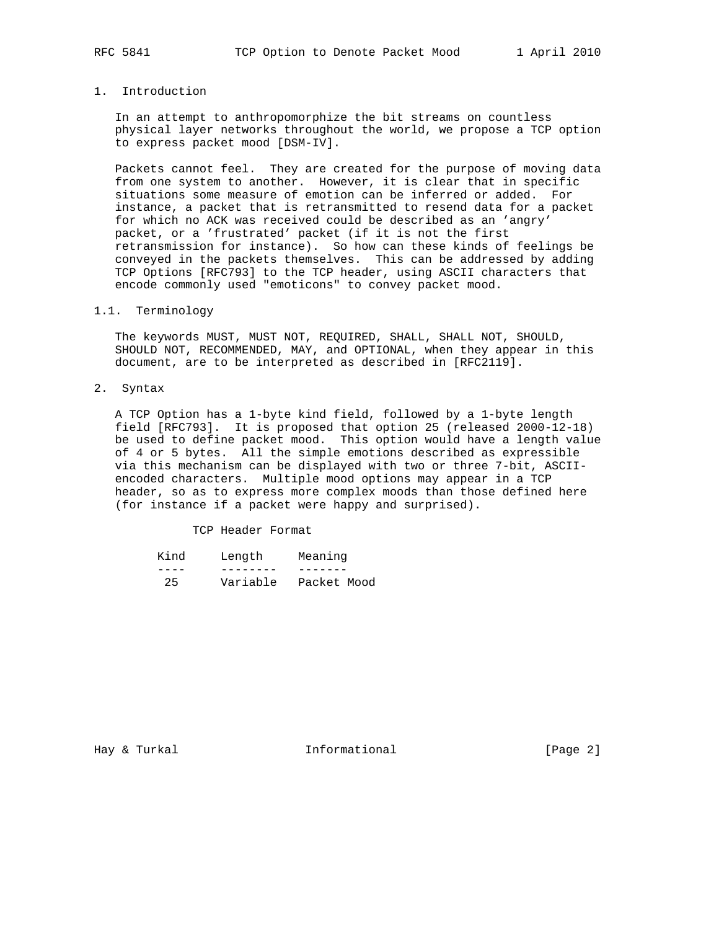# 1. Introduction

 In an attempt to anthropomorphize the bit streams on countless physical layer networks throughout the world, we propose a TCP option to express packet mood [DSM-IV].

 Packets cannot feel. They are created for the purpose of moving data from one system to another. However, it is clear that in specific situations some measure of emotion can be inferred or added. For instance, a packet that is retransmitted to resend data for a packet for which no ACK was received could be described as an 'angry' packet, or a 'frustrated' packet (if it is not the first retransmission for instance). So how can these kinds of feelings be conveyed in the packets themselves. This can be addressed by adding TCP Options [RFC793] to the TCP header, using ASCII characters that encode commonly used "emoticons" to convey packet mood.

### 1.1. Terminology

 The keywords MUST, MUST NOT, REQUIRED, SHALL, SHALL NOT, SHOULD, SHOULD NOT, RECOMMENDED, MAY, and OPTIONAL, when they appear in this document, are to be interpreted as described in [RFC2119].

2. Syntax

 A TCP Option has a 1-byte kind field, followed by a 1-byte length field [RFC793]. It is proposed that option 25 (released 2000-12-18) be used to define packet mood. This option would have a length value of 4 or 5 bytes. All the simple emotions described as expressible via this mechanism can be displayed with two or three 7-bit, ASCII encoded characters. Multiple mood options may appear in a TCP header, so as to express more complex moods than those defined here (for instance if a packet were happy and surprised).

#### TCP Header Format

| Kind | Lenath   | Meaning     |
|------|----------|-------------|
|      |          |             |
| 25   | Variable | Packet Mood |

Hay & Turkal **Informational Informational** [Page 2]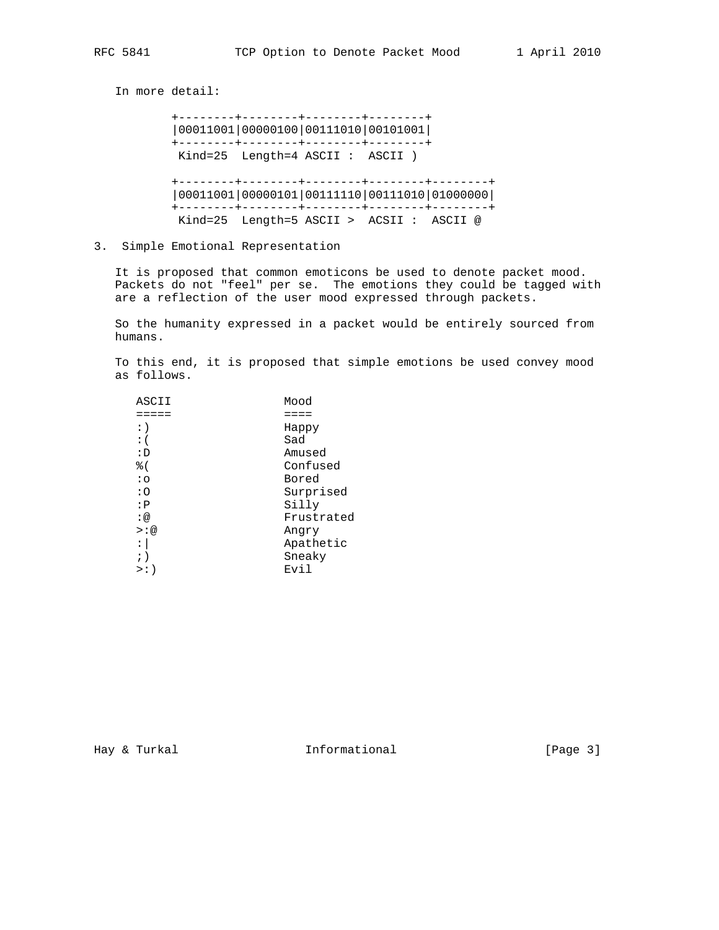In more detail: +--------+--------+--------+--------+ |00011001|00000100|00111010|00101001| +--------+--------+--------+--------+ Kind=25 Length=4 ASCII : ASCII ) +--------+--------+--------+--------+--------+ |00011001|00000101|00111110|00111010|01000000| +--------+--------+--------+--------+--------+ Kind=25 Length=5 ASCII > ACSII : ASCII @

3. Simple Emotional Representation

 It is proposed that common emoticons be used to denote packet mood. Packets do not "feel" per se. The emotions they could be tagged with are a reflection of the user mood expressed through packets.

 So the humanity expressed in a packet would be entirely sourced from humans.

 To this end, it is proposed that simple emotions be used convey mood as follows.

| ASCII      | Mood       |  |
|------------|------------|--|
|            | ====       |  |
| :)         | Happy      |  |
| $\colon$ ( | Sad        |  |
| : D        | Amused     |  |
| % (        | Confused   |  |
| $\cdot$ o  | Bored      |  |
| : 0        | Surprised  |  |
| : P        | Silly      |  |
| : @        | Frustrated |  |
| $>$ : @    | Angry      |  |
| :          | Apathetic  |  |
| ; )        | Sneaky     |  |
| >:         | Evil       |  |
|            |            |  |

Hay & Turkal **Informational** [Page 3]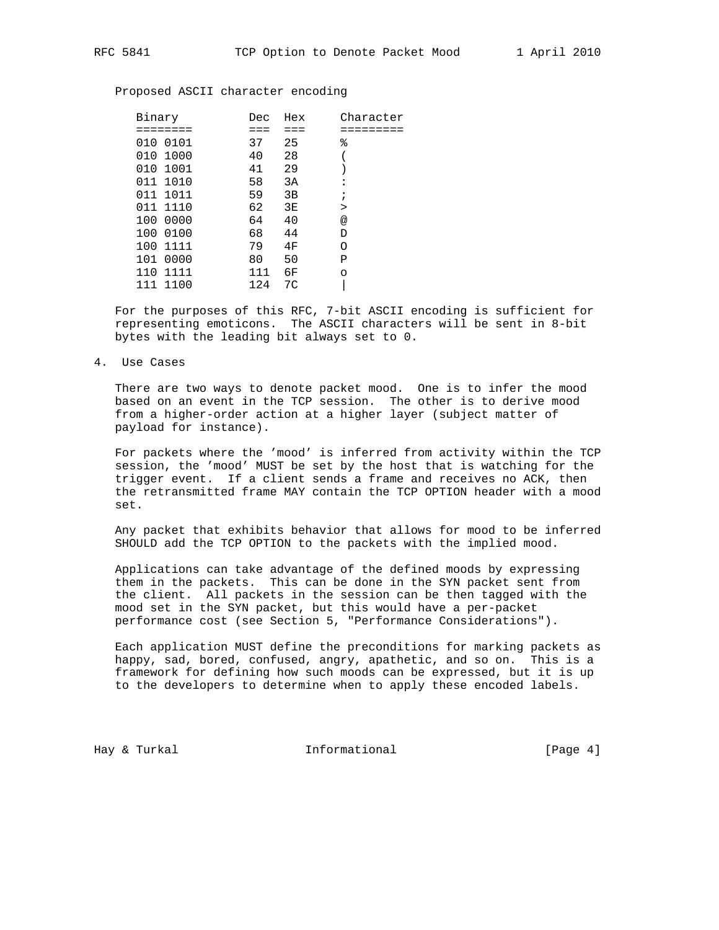Proposed ASCII character encoding

|     | Binary   | Dec | Hex         | Character  |
|-----|----------|-----|-------------|------------|
|     | :======= | === | $=$ $=$ $=$ |            |
|     | 010 0101 | 37  | 25          | ٩,         |
|     | 010 1000 | 40  | 28          |            |
|     | 010 1001 | 41  | 29          |            |
|     | 011 1010 | 58  | 3A          | ፡          |
|     | 011 1011 | 59  | 3B          | $\ddot{i}$ |
|     | 011 1110 | 62  | 3E          | $\geq$     |
|     | 100 0000 | 64  | 40          | @          |
|     | 100 0100 | 68  | 44          | D          |
|     | 100 1111 | 79  | 4F          | Ο          |
|     | 101 0000 | 80  | 50          | Ρ          |
| 110 | 1111     | 111 | 6F          | $\circ$    |
| 111 | 1100     | 124 | 7C          |            |

 For the purposes of this RFC, 7-bit ASCII encoding is sufficient for representing emoticons. The ASCII characters will be sent in 8-bit bytes with the leading bit always set to 0.

4. Use Cases

 There are two ways to denote packet mood. One is to infer the mood based on an event in the TCP session. The other is to derive mood from a higher-order action at a higher layer (subject matter of payload for instance).

 For packets where the 'mood' is inferred from activity within the TCP session, the 'mood' MUST be set by the host that is watching for the trigger event. If a client sends a frame and receives no ACK, then the retransmitted frame MAY contain the TCP OPTION header with a mood set.

 Any packet that exhibits behavior that allows for mood to be inferred SHOULD add the TCP OPTION to the packets with the implied mood.

 Applications can take advantage of the defined moods by expressing them in the packets. This can be done in the SYN packet sent from the client. All packets in the session can be then tagged with the mood set in the SYN packet, but this would have a per-packet performance cost (see Section 5, "Performance Considerations").

 Each application MUST define the preconditions for marking packets as happy, sad, bored, confused, angry, apathetic, and so on. This is a framework for defining how such moods can be expressed, but it is up to the developers to determine when to apply these encoded labels.

Hay & Turkal **Informational** 1. The Informational Theory of  $[Page 4]$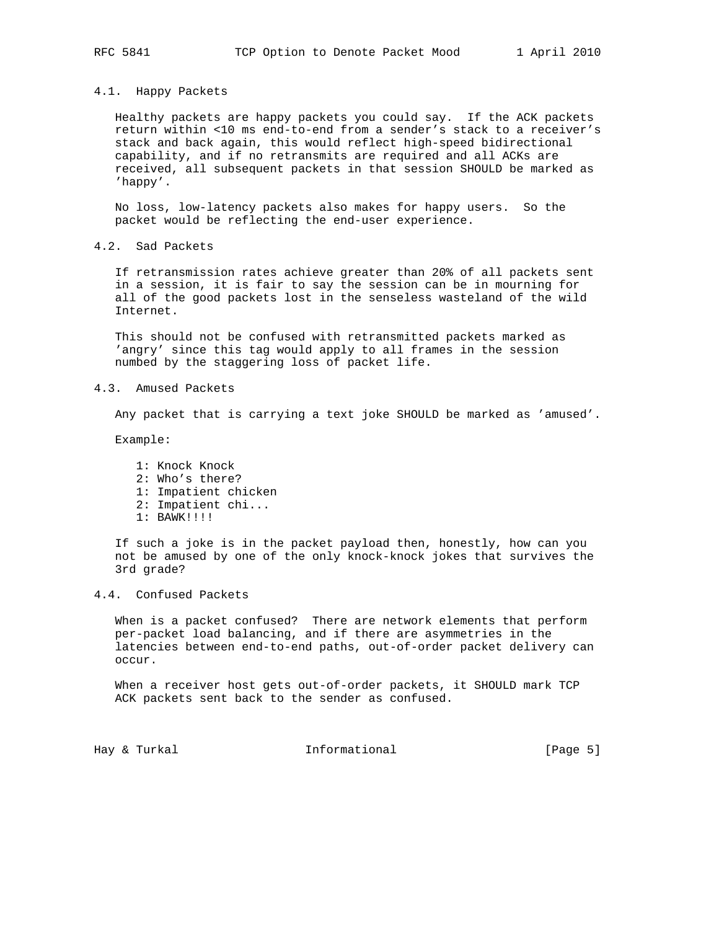### 4.1. Happy Packets

 Healthy packets are happy packets you could say. If the ACK packets return within <10 ms end-to-end from a sender's stack to a receiver's stack and back again, this would reflect high-speed bidirectional capability, and if no retransmits are required and all ACKs are received, all subsequent packets in that session SHOULD be marked as 'happy'.

 No loss, low-latency packets also makes for happy users. So the packet would be reflecting the end-user experience.

4.2. Sad Packets

 If retransmission rates achieve greater than 20% of all packets sent in a session, it is fair to say the session can be in mourning for all of the good packets lost in the senseless wasteland of the wild Internet.

 This should not be confused with retransmitted packets marked as 'angry' since this tag would apply to all frames in the session numbed by the staggering loss of packet life.

4.3. Amused Packets

Any packet that is carrying a text joke SHOULD be marked as 'amused'.

Example:

 1: Knock Knock 2: Who's there? 1: Impatient chicken 2: Impatient chi... 1: BAWK!!!!

 If such a joke is in the packet payload then, honestly, how can you not be amused by one of the only knock-knock jokes that survives the 3rd grade?

# 4.4. Confused Packets

 When is a packet confused? There are network elements that perform per-packet load balancing, and if there are asymmetries in the latencies between end-to-end paths, out-of-order packet delivery can occur.

 When a receiver host gets out-of-order packets, it SHOULD mark TCP ACK packets sent back to the sender as confused.

Hay & Turkal **Informational** [Page 5]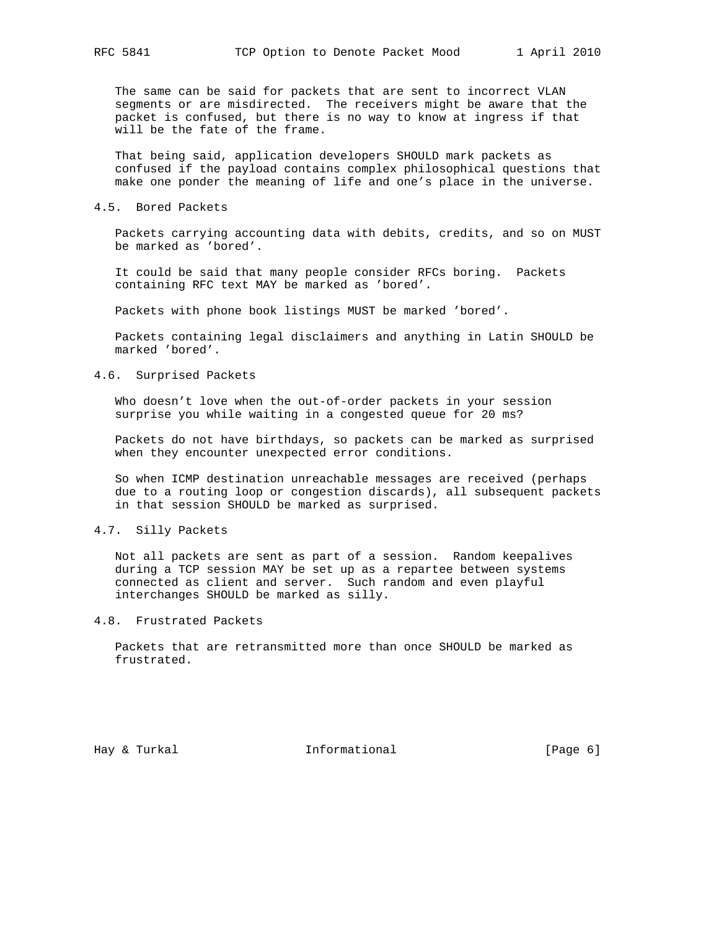The same can be said for packets that are sent to incorrect VLAN segments or are misdirected. The receivers might be aware that the packet is confused, but there is no way to know at ingress if that will be the fate of the frame.

 That being said, application developers SHOULD mark packets as confused if the payload contains complex philosophical questions that make one ponder the meaning of life and one's place in the universe.

### 4.5. Bored Packets

 Packets carrying accounting data with debits, credits, and so on MUST be marked as 'bored'.

 It could be said that many people consider RFCs boring. Packets containing RFC text MAY be marked as 'bored'.

Packets with phone book listings MUST be marked 'bored'.

 Packets containing legal disclaimers and anything in Latin SHOULD be marked 'bored'.

## 4.6. Surprised Packets

 Who doesn't love when the out-of-order packets in your session surprise you while waiting in a congested queue for 20 ms?

 Packets do not have birthdays, so packets can be marked as surprised when they encounter unexpected error conditions.

 So when ICMP destination unreachable messages are received (perhaps due to a routing loop or congestion discards), all subsequent packets in that session SHOULD be marked as surprised.

## 4.7. Silly Packets

 Not all packets are sent as part of a session. Random keepalives during a TCP session MAY be set up as a repartee between systems connected as client and server. Such random and even playful interchanges SHOULD be marked as silly.

# 4.8. Frustrated Packets

 Packets that are retransmitted more than once SHOULD be marked as frustrated.

Hay & Turkal **Informational** [Page 6]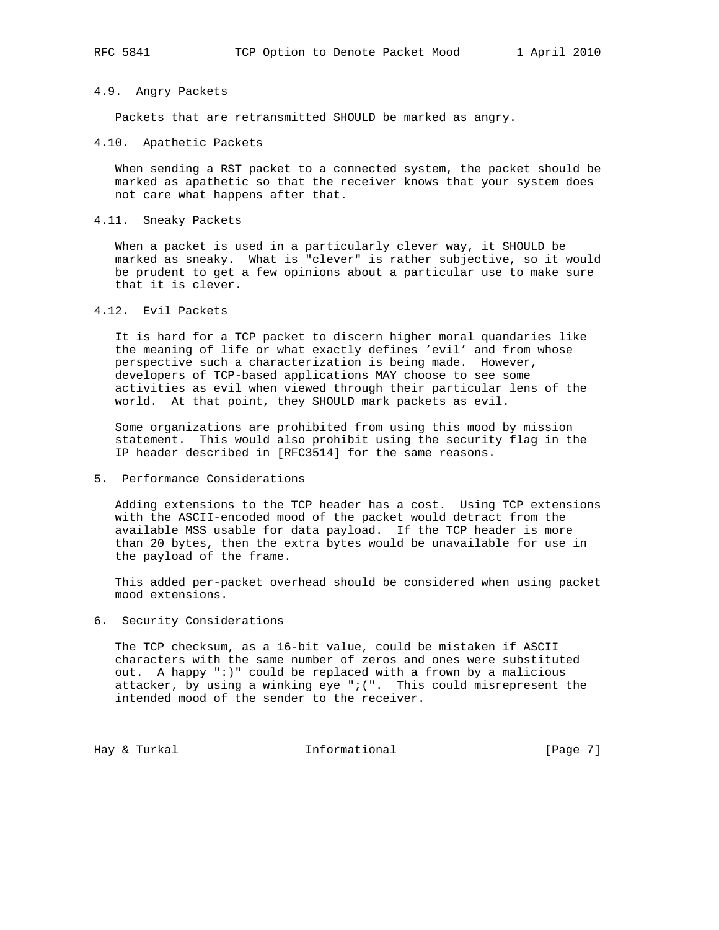# 4.9. Angry Packets

Packets that are retransmitted SHOULD be marked as angry.

4.10. Apathetic Packets

 When sending a RST packet to a connected system, the packet should be marked as apathetic so that the receiver knows that your system does not care what happens after that.

## 4.11. Sneaky Packets

 When a packet is used in a particularly clever way, it SHOULD be marked as sneaky. What is "clever" is rather subjective, so it would be prudent to get a few opinions about a particular use to make sure that it is clever.

4.12. Evil Packets

 It is hard for a TCP packet to discern higher moral quandaries like the meaning of life or what exactly defines 'evil' and from whose perspective such a characterization is being made. However, developers of TCP-based applications MAY choose to see some activities as evil when viewed through their particular lens of the world. At that point, they SHOULD mark packets as evil.

 Some organizations are prohibited from using this mood by mission statement. This would also prohibit using the security flag in the IP header described in [RFC3514] for the same reasons.

5. Performance Considerations

 Adding extensions to the TCP header has a cost. Using TCP extensions with the ASCII-encoded mood of the packet would detract from the available MSS usable for data payload. If the TCP header is more than 20 bytes, then the extra bytes would be unavailable for use in the payload of the frame.

 This added per-packet overhead should be considered when using packet mood extensions.

6. Security Considerations

 The TCP checksum, as a 16-bit value, could be mistaken if ASCII characters with the same number of zeros and ones were substituted out. A happy ":)" could be replaced with a frown by a malicious attacker, by using a winking eye " $i$  (". This could misrepresent the intended mood of the sender to the receiver.

Hay & Turkal **Informational Informational** [Page 7]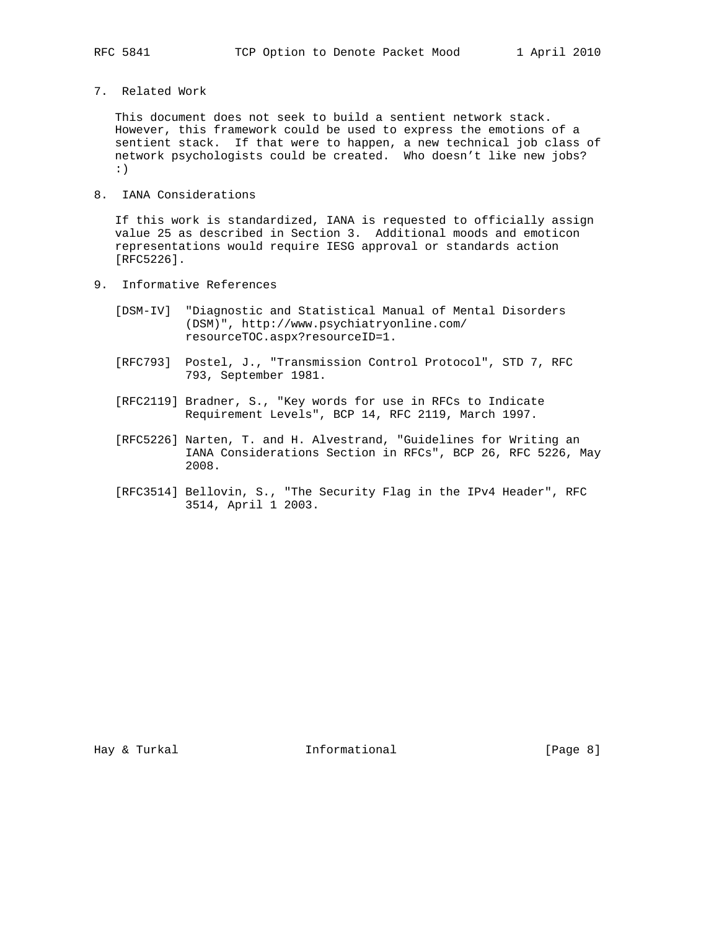7. Related Work

 This document does not seek to build a sentient network stack. However, this framework could be used to express the emotions of a sentient stack. If that were to happen, a new technical job class of network psychologists could be created. Who doesn't like new jobs? :)

8. IANA Considerations

 If this work is standardized, IANA is requested to officially assign value 25 as described in Section 3. Additional moods and emoticon representations would require IESG approval or standards action [RFC5226].

- 9. Informative References
	- [DSM-IV] "Diagnostic and Statistical Manual of Mental Disorders (DSM)", http://www.psychiatryonline.com/ resourceTOC.aspx?resourceID=1.
	- [RFC793] Postel, J., "Transmission Control Protocol", STD 7, RFC 793, September 1981.
	- [RFC2119] Bradner, S., "Key words for use in RFCs to Indicate Requirement Levels", BCP 14, RFC 2119, March 1997.
	- [RFC5226] Narten, T. and H. Alvestrand, "Guidelines for Writing an IANA Considerations Section in RFCs", BCP 26, RFC 5226, May 2008.
	- [RFC3514] Bellovin, S., "The Security Flag in the IPv4 Header", RFC 3514, April 1 2003.

Hay & Turkal **Informational** [Page 8]